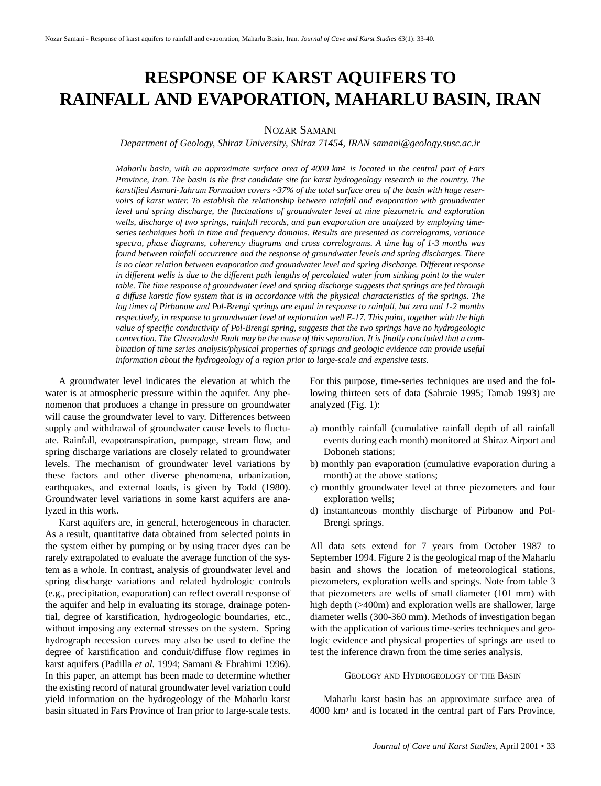# **RESPONSE OF KARST AQUIFERS TO RAINFALL AND EVAPORATION, MAHARLU BASIN, IRAN**

# NOZAR SAMANI

*Department of Geology, Shiraz University, Shiraz 71454, IRAN samani@geology.susc.ac.ir*

*Maharlu basin, with an approximate surface area of 4000 km2, is located in the central part of Fars Province, Iran. The basin is the first candidate site for karst hydrogeology research in the country. The karstified Asmari-Jahrum Formation covers ~37% of the total surface area of the basin with huge reservoirs of karst water. To establish the relationship between rainfall and evaporation with groundwater level and spring discharge, the fluctuations of groundwater level at nine piezometric and exploration wells, discharge of two springs, rainfall records, and pan evaporation are analyzed by employing timeseries techniques both in time and frequency domains. Results are presented as correlograms, variance spectra, phase diagrams, coherency diagrams and cross correlograms. A time lag of 1-3 months was found between rainfall occurrence and the response of groundwater levels and spring discharges. There is no clear relation between evaporation and groundwater level and spring discharge. Different response in different wells is due to the different path lengths of percolated water from sinking point to the water table. The time response of groundwater level and spring discharge suggests that springs are fed through a diffuse karstic flow system that is in accordance with the physical characteristics of the springs. The lag times of Pirbanow and Pol-Brengi springs are equal in response to rainfall, but zero and 1-2 months respectively, in response to groundwater level at exploration well E-17. This point, together with the high value of specific conductivity of Pol-Brengi spring, suggests that the two springs have no hydrogeologic connection. The Ghasrodasht Fault may be the cause of this separation. It is finally concluded that a combination of time series analysis/physical properties of springs and geologic evidence can provide useful information about the hydrogeology of a region prior to large-scale and expensive tests.*

A groundwater level indicates the elevation at which the water is at atmospheric pressure within the aquifer. Any phenomenon that produces a change in pressure on groundwater will cause the groundwater level to vary. Differences between supply and withdrawal of groundwater cause levels to fluctuate. Rainfall, evapotranspiration, pumpage, stream flow, and spring discharge variations are closely related to groundwater levels. The mechanism of groundwater level variations by these factors and other diverse phenomena, urbanization, earthquakes, and external loads, is given by Todd (1980). Groundwater level variations in some karst aquifers are analyzed in this work.

Karst aquifers are, in general, heterogeneous in character. As a result, quantitative data obtained from selected points in the system either by pumping or by using tracer dyes can be rarely extrapolated to evaluate the average function of the system as a whole. In contrast, analysis of groundwater level and spring discharge variations and related hydrologic controls (e.g., precipitation, evaporation) can reflect overall response of the aquifer and help in evaluating its storage, drainage potential, degree of karstification, hydrogeologic boundaries, etc., without imposing any external stresses on the system. Spring hydrograph recession curves may also be used to define the degree of karstification and conduit/diffuse flow regimes in karst aquifers (Padilla *et al.* 1994; Samani & Ebrahimi 1996). In this paper, an attempt has been made to determine whether the existing record of natural groundwater level variation could yield information on the hydrogeology of the Maharlu karst basin situated in Fars Province of Iran prior to large-scale tests. For this purpose, time-series techniques are used and the following thirteen sets of data (Sahraie 1995; Tamab 1993) are analyzed (Fig. 1):

- a) monthly rainfall (cumulative rainfall depth of all rainfall events during each month) monitored at Shiraz Airport and Doboneh stations;
- b) monthly pan evaporation (cumulative evaporation during a month) at the above stations;
- c) monthly groundwater level at three piezometers and four exploration wells;
- d) instantaneous monthly discharge of Pirbanow and Pol-Brengi springs.

All data sets extend for 7 years from October 1987 to September 1994. Figure 2 is the geological map of the Maharlu basin and shows the location of meteorological stations, piezometers, exploration wells and springs. Note from table 3 that piezometers are wells of small diameter (101 mm) with high depth ( $>400$ m) and exploration wells are shallower, large diameter wells (300-360 mm). Methods of investigation began with the application of various time-series techniques and geologic evidence and physical properties of springs are used to test the inference drawn from the time series analysis.

## GEOLOGY AND HYDROGEOLOGY OF THE BASIN

Maharlu karst basin has an approximate surface area of 4000 km2 and is located in the central part of Fars Province,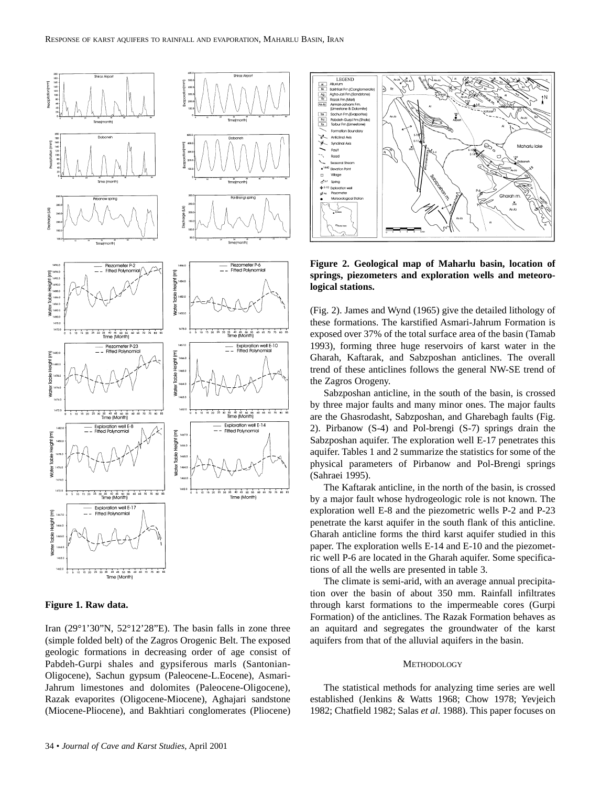



Iran (29°1'30"N, 52°12'28"E). The basin falls in zone three (simple folded belt) of the Zagros Orogenic Belt. The exposed geologic formations in decreasing order of age consist of Pabdeh-Gurpi shales and gypsiferous marls (Santonian-Oligocene), Sachun gypsum (Paleocene-L.Eocene), Asmari-Jahrum limestones and dolomites (Paleocene-Oligocene), Razak evaporites (Oligocene-Miocene), Aghajari sandstone (Miocene-Pliocene), and Bakhtiari conglomerates (Pliocene)



**Figure 2. Geological map of Maharlu basin, location of springs, piezometers and exploration wells and meteorological stations.**

(Fig. 2). James and Wynd (1965) give the detailed lithology of these formations. The karstified Asmari-Jahrum Formation is exposed over 37% of the total surface area of the basin (Tamab 1993), forming three huge reservoirs of karst water in the Gharah, Kaftarak, and Sabzposhan anticlines. The overall trend of these anticlines follows the general NW-SE trend of the Zagros Orogeny.

Sabzposhan anticline, in the south of the basin, is crossed by three major faults and many minor ones. The major faults are the Ghasrodasht, Sabzposhan, and Gharebagh faults (Fig. 2). Pirbanow (S-4) and Pol-brengi (S-7) springs drain the Sabzposhan aquifer. The exploration well E-17 penetrates this aquifer. Tables 1 and 2 summarize the statistics for some of the physical parameters of Pirbanow and Pol-Brengi springs (Sahraei 1995).

The Kaftarak anticline, in the north of the basin, is crossed by a major fault whose hydrogeologic role is not known. The exploration well E-8 and the piezometric wells P-2 and P-23 penetrate the karst aquifer in the south flank of this anticline. Gharah anticline forms the third karst aquifer studied in this paper. The exploration wells E-14 and E-10 and the piezometric well P-6 are located in the Gharah aquifer. Some specifications of all the wells are presented in table 3.

The climate is semi-arid, with an average annual precipitation over the basin of about 350 mm. Rainfall infiltrates through karst formations to the impermeable cores (Gurpi Formation) of the anticlines. The Razak Formation behaves as an aquitard and segregates the groundwater of the karst aquifers from that of the alluvial aquifers in the basin.

# **METHODOLOGY**

The statistical methods for analyzing time series are well established (Jenkins & Watts 1968; Chow 1978; Yevjeich 1982; Chatfield 1982; Salas *et al*. 1988). This paper focuses on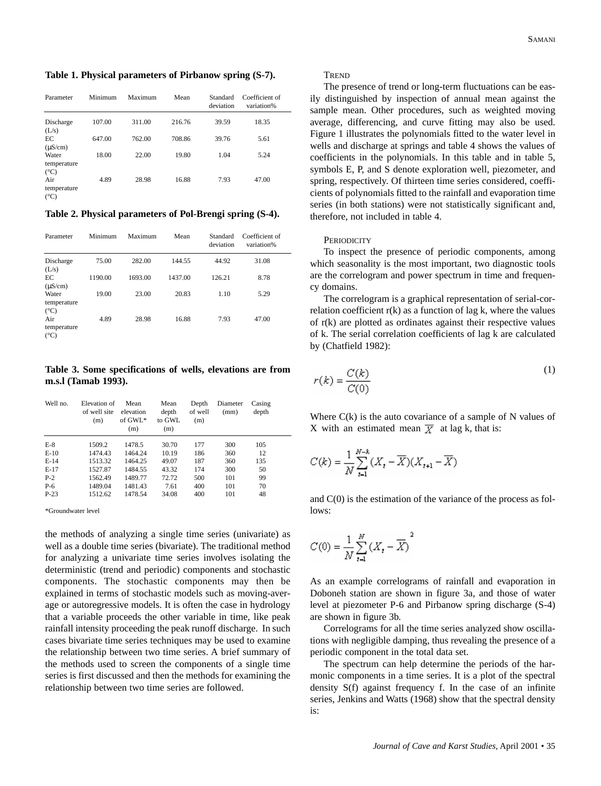**Table 1. Physical parameters of Pirbanow spring (S-7).**

| Parameter                           | Minimum | Maximum | Mean   | Standard<br>deviation | Coefficient of<br>variation% |
|-------------------------------------|---------|---------|--------|-----------------------|------------------------------|
| Discharge<br>(L/s)                  | 107.00  | 311.00  | 216.76 | 39.59                 | 18.35                        |
| EC<br>$(\mu S/cm)$                  | 647.00  | 762.00  | 708.86 | 39.76                 | 5.61                         |
| Water<br>temperature                | 18.00   | 22.00   | 19.80  | 1.04                  | 5.24                         |
| $(^{\circ}C)$<br>Air<br>temperature | 4.89    | 28.98   | 16.88  | 7.93                  | 47.00                        |
| $(^{\circ}C)$                       |         |         |        |                       |                              |

**Table 2. Physical parameters of Pol-Brengi spring (S-4).**

| Parameter                             | Minimum | Maximum | Mean    | Standard<br>deviation | Coefficient of<br>variation% |
|---------------------------------------|---------|---------|---------|-----------------------|------------------------------|
| Discharge<br>(L/s)                    | 75.00   | 282.00  | 144.55  | 44.92                 | 31.08                        |
| EC<br>$(\mu S/cm)$                    | 1190.00 | 1693.00 | 1437.00 | 126.21                | 8.78                         |
| Water<br>temperature<br>$(^{\circ}C)$ | 19.00   | 23.00   | 20.83   | 1.10                  | 5.29                         |
| Air<br>temperature<br>$(^{\circ}C)$   | 4.89    | 28.98   | 16.88   | 7.93                  | 47.00                        |

**Table 3. Some specifications of wells, elevations are from m.s.l (Tamab 1993).**

| Well no. | Elevation of<br>of well site<br>(m) | Mean<br>elevation<br>of $GWL^*$<br>(m) | Mean<br>depth<br>to GWL<br>(m) | Depth<br>of well<br>(m) | Diameter<br>(mm) | Casing<br>depth |  |
|----------|-------------------------------------|----------------------------------------|--------------------------------|-------------------------|------------------|-----------------|--|
| $E-8$    | 1509.2                              | 1478.5                                 | 30.70                          | 177                     | 300              | 105             |  |
| $E-10$   | 1474.43                             | 1464.24                                | 10.19                          | 186                     | 360              | 12              |  |
| $E-14$   | 1513.32                             | 1464.25                                | 49.07                          | 187                     | 360              | 135             |  |
| $E-17$   | 1527.87                             | 1484.55                                | 43.32                          | 174                     | 300              | 50              |  |
| $P-2$    | 1562.49                             | 1489.77                                | 72.72                          | 500                     | 101              | 99              |  |
| $P-6$    | 1489.04                             | 1481.43                                | 7.61                           | 400                     | 101              | 70              |  |
| $P-23$   | 1512.62                             | 1478.54                                | 34.08                          | 400                     | 101              | 48              |  |

\*Groundwater level

the methods of analyzing a single time series (univariate) as well as a double time series (bivariate). The traditional method for analyzing a univariate time series involves isolating the deterministic (trend and periodic) components and stochastic components. The stochastic components may then be explained in terms of stochastic models such as moving-average or autoregressive models. It is often the case in hydrology that a variable proceeds the other variable in time, like peak rainfall intensity proceeding the peak runoff discharge. In such cases bivariate time series techniques may be used to examine the relationship between two time series. A brief summary of the methods used to screen the components of a single time series is first discussed and then the methods for examining the relationship between two time series are followed.

#### **TREND**

The presence of trend or long-term fluctuations can be easily distinguished by inspection of annual mean against the sample mean. Other procedures, such as weighted moving average, differencing, and curve fitting may also be used. Figure 1 illustrates the polynomials fitted to the water level in wells and discharge at springs and table 4 shows the values of coefficients in the polynomials. In this table and in table 5, symbols E, P, and S denote exploration well, piezometer, and spring, respectively. Of thirteen time series considered, coefficients of polynomials fitted to the rainfall and evaporation time series (in both stations) were not statistically significant and, therefore, not included in table 4.

# **PERIODICITY**

To inspect the presence of periodic components, among which seasonality is the most important, two diagnostic tools are the correlogram and power spectrum in time and frequency domains.

The correlogram is a graphical representation of serial-correlation coefficient  $r(k)$  as a function of lag k, where the values of r(k) are plotted as ordinates against their respective values of k. The serial correlation coefficients of lag k are calculated by (Chatfield 1982):

$$
r(k) = \frac{C(k)}{C(0)}\tag{1}
$$

Where  $C(k)$  is the auto covariance of a sample of N values of X with an estimated mean  $\overline{X}$  at lag k, that is:

$$
C(k)=\frac{1}{N}\sum_{t=1}^{N-k}(X_t-\overline{X})(X_{t+1}-\overline{X})
$$

and  $C(0)$  is the estimation of the variance of the process as follows:

$$
C(0) = \frac{1}{N} \sum_{t=1}^{N} (X_t - \overline{X})^2
$$

As an example correlograms of rainfall and evaporation in Doboneh station are shown in figure 3a, and those of water level at piezometer P-6 and Pirbanow spring discharge (S-4) are shown in figure 3b.

Correlograms for all the time series analyzed show oscillations with negligible damping, thus revealing the presence of a periodic component in the total data set.

The spectrum can help determine the periods of the harmonic components in a time series. It is a plot of the spectral density S(f) against frequency f. In the case of an infinite series, Jenkins and Watts (1968) show that the spectral density is: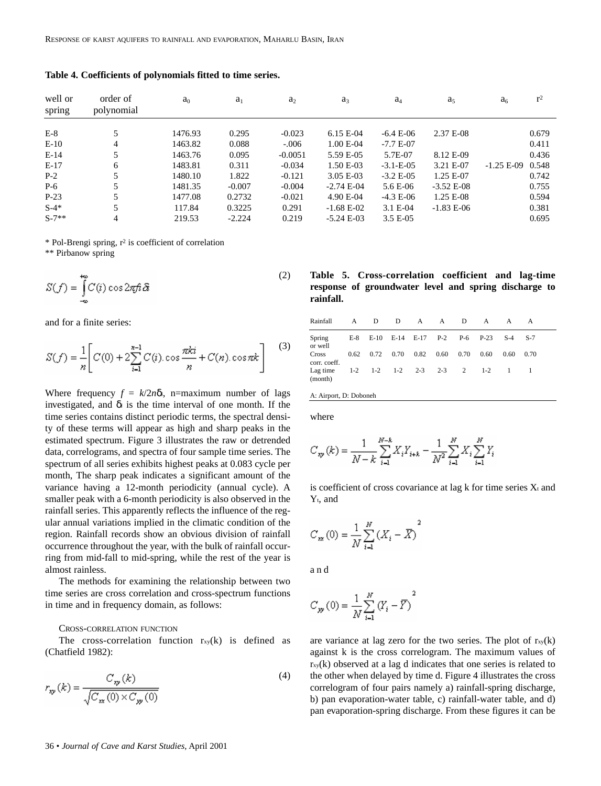| well or<br>spring | order of<br>polynomial | $a_0$   | $a_1$    | a <sub>2</sub> | $a_3$        | $a_4$            | a <sub>5</sub> | a <sub>6</sub> | r <sup>2</sup> |
|-------------------|------------------------|---------|----------|----------------|--------------|------------------|----------------|----------------|----------------|
| $E-8$             | 5                      | 1476.93 | 0.295    | $-0.023$       | $6.15 E-04$  | $-6.4 E-06$      | 2.37 E-08      |                | 0.679          |
| $E-10$            | $\overline{4}$         | 1463.82 | 0.088    | $-.006$        | $1.00 E-04$  | $-7.7 E-07$      |                |                | 0.411          |
| $E-14$            | 5                      | 1463.76 | 0.095    | $-0.0051$      | 5.59 E-05    | 5.7E-07          | 8.12 E-09      |                | 0.436          |
| $E-17$            | 6                      | 1483.81 | 0.311    | $-0.034$       | 1.50 E-03    | $-3.1 - E - 0.5$ | 3.21 E-07      | $-1.25 E-09$   | 0.548          |
| $P-2$             | 5                      | 1480.10 | 1.822    | $-0.121$       | $3.05 E-03$  | $-3.2 E - 0.5$   | 1.25 E-07      |                | 0.742          |
| $P-6$             | 5                      | 1481.35 | $-0.007$ | $-0.004$       | $-2.74 E-04$ | 5.6 E-06         | $-3.52$ E-08   |                | 0.755          |
| $P-23$            | 5                      | 1477.08 | 0.2732   | $-0.021$       | 4.90 E-04    | $-4.3 E-06$      | $1.25 E-08$    |                | 0.594          |
| $S-4*$            | 5                      | 117.84  | 0.3225   | 0.291          | $-1.68$ E-02 | $3.1 E-04$       | $-1.83 E-06$   |                | 0.381          |
| $S-7**$           | 4                      | 219.53  | $-2.224$ | 0.219          | $-5.24 E-03$ | $3.5 E-0.5$      |                |                | 0.695          |

**Table 4. Coefficients of polynomials fitted to time series.**

\* Pol-Brengi spring, r2 is coefficient of correlation

\*\* Pirbanow spring

$$
S(f) = \int_{-\infty}^{+\infty} C(i) \cos 2\pi f i \, \delta i
$$
 (2)

and for a finite series:

$$
S(f) = \frac{1}{n} \bigg[ C(0) + 2 \sum_{i=1}^{n-1} C(i) \cos \frac{\pi k i}{n} + C(n) \cos \pi k \bigg] \tag{3}
$$

Where frequency  $f = k/2n\delta$ *i*, n=maximum number of lags investigated, and  $\delta_i$  is the time interval of one month. If the time series contains distinct periodic terms, the spectral density of these terms will appear as high and sharp peaks in the estimated spectrum. Figure 3 illustrates the raw or detrended data, correlograms, and spectra of four sample time series. The spectrum of all series exhibits highest peaks at 0.083 cycle per month, The sharp peak indicates a significant amount of the variance having a 12-month periodicity (annual cycle). A smaller peak with a 6-month periodicity is also observed in the rainfall series. This apparently reflects the influence of the regular annual variations implied in the climatic condition of the region. Rainfall records show an obvious division of rainfall occurrence throughout the year, with the bulk of rainfall occurring from mid-fall to mid-spring, while the rest of the year is almost rainless.

The methods for examining the relationship between two time series are cross correlation and cross-spectrum functions in time and in frequency domain, as follows:

#### CROSS-CORRELATION FUNCTION

The cross-correlation function  $r_{xy}(k)$  is defined as (Chatfield 1982):

$$
r_{\mathbf{w}}(k) = \frac{C_{\mathbf{w}}(k)}{\sqrt{C_{\mathbf{w}}(0) \times C_{\mathbf{w}}(0)}}
$$
(4)

# **Table 5. Cross-correlation coefficient and lag-time response of groundwater level and spring discharge to rainfall.**

| Rainfall              | A D |                      | $\Box$ |                                   | A A D | A                                   |      |      |  |
|-----------------------|-----|----------------------|--------|-----------------------------------|-------|-------------------------------------|------|------|--|
| Spring<br>or well     |     |                      |        |                                   |       | E-8 E-10 E-14 E-17 P-2 P-6 P-23 S-4 |      | S-7  |  |
| Cross<br>corr. coeff. |     | $0.62$ $0.72$ $0.70$ |        | $0.82$ $0.60$ $0.70$              |       | 0.60                                | 0.60 | 0.70 |  |
| Lag time<br>(month)   |     |                      |        | $1-2$ $1-2$ $1-2$ $2-3$ $2-3$ $2$ |       | $1 - 2$                             |      |      |  |

A: Airport, D: Doboneh

where

$$
C_{\mathit{xy}}\left( k \right) = \frac{1}{{N - k}}\sum\limits_{i = 1}^{N - k}{{{X}_{i}}{{Y}_{i + k}}}-\frac{1}{{N^2 }}\sum\limits_{i = 1}^N{{{X}_{i}}\sum\limits_{i = 1}^N {{Y}_{i}} }
$$

is coefficient of cross covariance at lag  $k$  for time series  $X_t$  and Yt, and

$$
C_{xx}(0) = \frac{1}{N} \sum_{i=1}^{N} (X_i - \overline{X})^2
$$

and

$$
C_{yy}(0) = \frac{1}{N} \sum_{i=1}^{N} (Y_i - \overline{Y})^2
$$

are variance at lag zero for the two series. The plot of  $r_{xy}(k)$ against k is the cross correlogram. The maximum values of  $r_{xy}(k)$  observed at a lag d indicates that one series is related to the other when delayed by time d. Figure 4 illustrates the cross correlogram of four pairs namely a) rainfall-spring discharge, b) pan evaporation-water table, c) rainfall-water table, and d) pan evaporation-spring discharge. From these figures it can be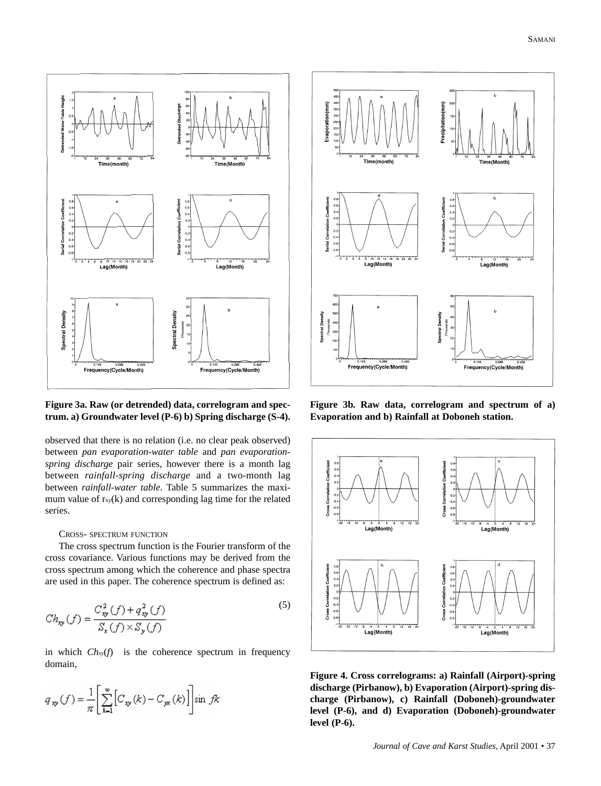

**Figure 3a. Raw (or detrended) data, correlogram and spectrum. a) Groundwater level (P-6) b) Spring discharge (S-4).**

observed that there is no relation (i.e. no clear peak observed) between *pan evaporation-water table* and *pan evaporationspring discharge* pair series, however there is a month lag between *rainfall-spring discharge* and a two-month lag between *rainfall-water table*. Table 5 summarizes the maximum value of  $r_{xy}(k)$  and corresponding lag time for the related series.

# CROSS- SPECTRUM FUNCTION

The cross spectrum function is the Fourier transform of the cross covariance. Various functions may be derived from the cross spectrum among which the coherence and phase spectra are used in this paper. The coherence spectrum is defined as:

$$
Ch_{\mathbf{xy}}(f) = \frac{C_{\mathbf{xy}}^2(f) + q_{\mathbf{xy}}^2(f)}{S_{\mathbf{x}}(f) \times S_{\mathbf{y}}(f)}
$$
(5)

in which  $Ch<sub>xy</sub>(f)$  is the coherence spectrum in frequency domain,

$$
q_{xy}(f) = \frac{1}{\pi} \left[ \sum_{k=1}^{\infty} \left[ C_{xy}(k) - C_{yx}(k) \right] \right] \sin f k
$$



**Figure 3b. Raw data, correlogram and spectrum of a) Evaporation and b) Rainfall at Doboneh station.**



**Figure 4. Cross correlograms: a) Rainfall (Airport)-spring discharge (Pirbanow), b) Evaporation (Airport)-spring discharge (Pirbanow), c) Rainfall (Doboneh)-groundwater level (P-6), and d) Evaporation (Doboneh)-groundwater level (P-6).**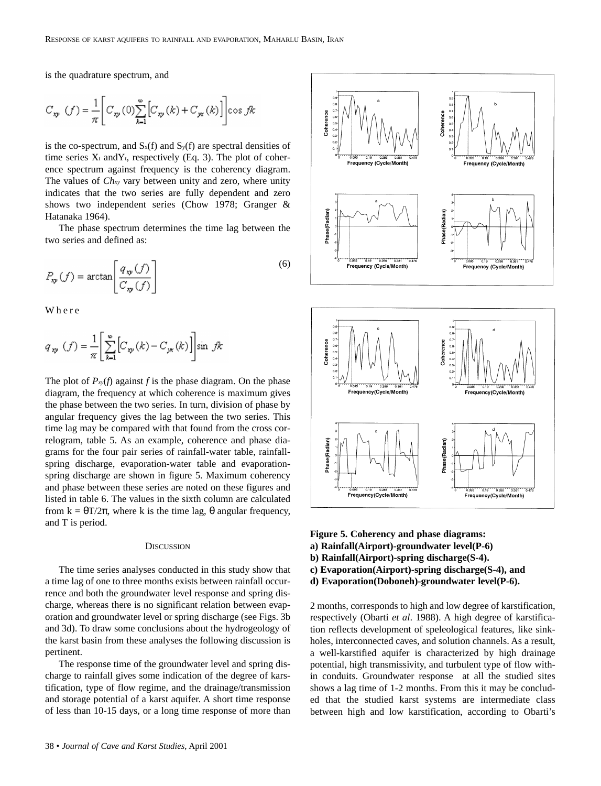is the quadrature spectrum, and

$$
C_{\mathbf{w}}(f) = \frac{1}{\pi} \left[ C_{\mathbf{w}}(0) \sum_{k=1}^{\infty} \left[ C_{\mathbf{w}}(k) + C_{\mathbf{w}}(k) \right] \right] \cos f k
$$

is the co-spectrum, and  $S_x(f)$  and  $S_y(f)$  are spectral densities of time series  $X_t$  and  $Y_t$ , respectively (Eq. 3). The plot of coherence spectrum against frequency is the coherency diagram. The values of *Chxy* vary between unity and zero, where unity indicates that the two series are fully dependent and zero shows two independent series (Chow 1978; Granger & Hatanaka 1964).

The phase spectrum determines the time lag between the two series and defined as:

$$
P_{\mathbf{w}}(f) = \arctan\left[\frac{q_{\mathbf{w}}(f)}{C_{\mathbf{w}}(f)}\right]
$$
\n(6)

Where

$$
q_{xy}(f) = \frac{1}{\pi} \left[ \sum_{k=1}^{\infty} \left[ C_{xy}(k) - C_{yx}(k) \right] \right] \sin f k
$$

The plot of  $P_{xy}(f)$  against *f* is the phase diagram. On the phase diagram, the frequency at which coherence is maximum gives the phase between the two series. In turn, division of phase by angular frequency gives the lag between the two series. This time lag may be compared with that found from the cross correlogram, table 5. As an example, coherence and phase diagrams for the four pair series of rainfall-water table, rainfallspring discharge, evaporation-water table and evaporationspring discharge are shown in figure 5. Maximum coherency and phase between these series are noted on these figures and listed in table 6. The values in the sixth column are calculated from  $k = \theta T/2\pi$ , where k is the time lag,  $\theta$  angular frequency, and T is period.

## **DISCUSSION**

The time series analyses conducted in this study show that a time lag of one to three months exists between rainfall occurrence and both the groundwater level response and spring discharge, whereas there is no significant relation between evaporation and groundwater level or spring discharge (see Figs. 3b and 3d). To draw some conclusions about the hydrogeology of the karst basin from these analyses the following discussion is pertinent.

The response time of the groundwater level and spring discharge to rainfall gives some indication of the degree of karstification, type of flow regime, and the drainage/transmission and storage potential of a karst aquifer. A short time response of less than 10-15 days, or a long time response of more than





**Figure 5. Coherency and phase diagrams:**

- **a) Rainfall(Airport)-groundwater level(P-6)**
- **b) Rainfall(Airport)-spring discharge(S-4).**
- **c) Evaporation(Airport)-spring discharge(S-4), and**
- **d) Evaporation(Doboneh)-groundwater level(P-6).**

2 months, corresponds to high and low degree of karstification, respectively (Obarti *et al*. 1988). A high degree of karstification reflects development of speleological features, like sinkholes, interconnected caves, and solution channels. As a result, a well-karstified aquifer is characterized by high drainage potential, high transmissivity, and turbulent type of flow within conduits. Groundwater response at all the studied sites shows a lag time of 1-2 months. From this it may be concluded that the studied karst systems are intermediate class between high and low karstification, according to Obarti's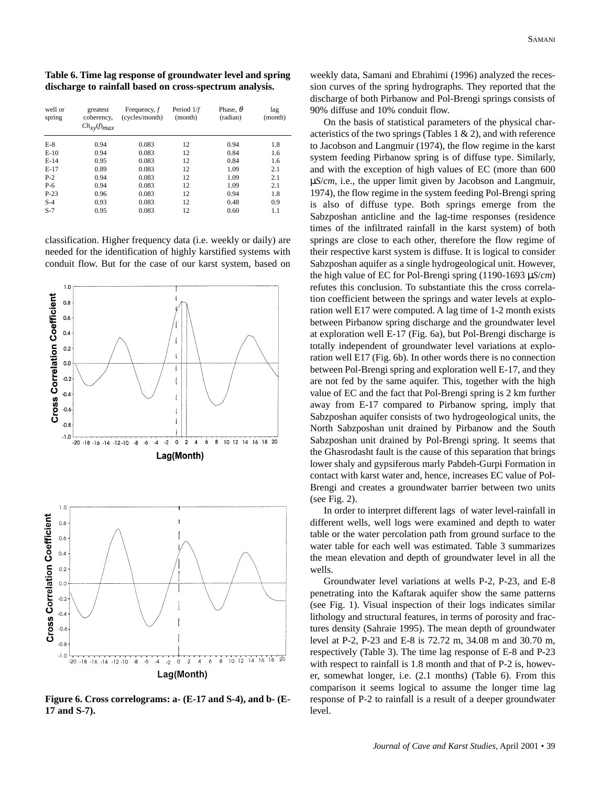**Table 6. Time lag response of groundwater level and spring discharge to rainfall based on cross-spectrum analysis.**

| well or<br>spring | greatest<br>coherency,<br>$Ch_{xy}(f)_{max}$ | Frequency, $f$<br>(cycles/month) | Period 1/f<br>(month) | Phase, $\theta$<br>(radian) | lag<br>(month) |
|-------------------|----------------------------------------------|----------------------------------|-----------------------|-----------------------------|----------------|
| $E-8$             | 0.94                                         | 0.083                            | 12                    | 0.94                        | 1.8            |
| $E-10$            | 0.94                                         | 0.083                            | 12                    | 0.84                        | 1.6            |
| $E-14$            | 0.95                                         | 0.083                            | 12                    | 0.84                        | 1.6            |
| $E-17$            | 0.89                                         | 0.083                            | 12                    | 1.09                        | 2.1            |
| $P-2$             | 0.94                                         | 0.083                            | 12                    | 1.09                        | 2.1            |
| $P-6$             | 0.94                                         | 0.083                            | 12                    | 1.09                        | 2.1            |
| $P-23$            | 0.96                                         | 0.083                            | 12                    | 0.94                        | 1.8            |
| $S-4$             | 0.93                                         | 0.083                            | 12                    | 0.48                        | 0.9            |
| $S-7$             | 0.95                                         | 0.083                            | 12                    | 0.60                        | 1.1            |

classification. Higher frequency data (i.e. weekly or daily) are needed for the identification of highly karstified systems with conduit flow. But for the case of our karst system, based on



**Figure 6. Cross correlograms: a- (E-17 and S-4), and b- (E-17 and S-7).**

weekly data, Samani and Ebrahimi (1996) analyzed the recession curves of the spring hydrographs. They reported that the discharge of both Pirbanow and Pol-Brengi springs consists of 90% diffuse and 10% conduit flow.

On the basis of statistical parameters of the physical characteristics of the two springs (Tables  $1 \& 2$ ), and with reference to Jacobson and Langmuir (1974), the flow regime in the karst system feeding Pirbanow spring is of diffuse type. Similarly, and with the exception of high values of EC (more than 600 µ*S*/*cm*, i.e., the upper limit given by Jacobson and Langmuir, 1974), the flow regime in the system feeding Pol-Brengi spring is also of diffuse type. Both springs emerge from the Sabzposhan anticline and the lag-time responses (residence times of the infiltrated rainfall in the karst system) of both springs are close to each other, therefore the flow regime of their respective karst system is diffuse. It is logical to consider Sabzposhan aquifer as a single hydrogeological unit. However, the high value of EC for Pol-Brengi spring (1190-1693 µ*S*/*cm*) refutes this conclusion. To substantiate this the cross correlation coefficient between the springs and water levels at exploration well E17 were computed. A lag time of 1-2 month exists between Pirbanow spring discharge and the groundwater level at exploration well E-17 (Fig. 6a), but Pol-Brengi discharge is totally independent of groundwater level variations at exploration well E17 (Fig. 6b). In other words there is no connection between Pol-Brengi spring and exploration well E-17, and they are not fed by the same aquifer. This, together with the high value of EC and the fact that Pol-Brengi spring is 2 km further away from E-17 compared to Pirbanow spring, imply that Sabzposhan aquifer consists of two hydrogeological units, the North Sabzposhan unit drained by Pirbanow and the South Sabzposhan unit drained by Pol-Brengi spring. It seems that the Ghasrodasht fault is the cause of this separation that brings lower shaly and gypsiferous marly Pabdeh-Gurpi Formation in contact with karst water and, hence, increases EC value of Pol-Brengi and creates a groundwater barrier between two units (see Fig. 2).

In order to interpret different lags of water level-rainfall in different wells, well logs were examined and depth to water table or the water percolation path from ground surface to the water table for each well was estimated. Table 3 summarizes the mean elevation and depth of groundwater level in all the wells.

Groundwater level variations at wells P-2, P-23, and E-8 penetrating into the Kaftarak aquifer show the same patterns (see Fig. 1). Visual inspection of their logs indicates similar lithology and structural features, in terms of porosity and fractures density (Sahraie 1995). The mean depth of groundwater level at P-2, P-23 and E-8 is 72.72 m, 34.08 m and 30.70 m, respectively (Table 3). The time lag response of E-8 and P-23 with respect to rainfall is 1.8 month and that of P-2 is, however, somewhat longer, i.e. (2.1 months) (Table 6). From this comparison it seems logical to assume the longer time lag response of P-2 to rainfall is a result of a deeper groundwater level.